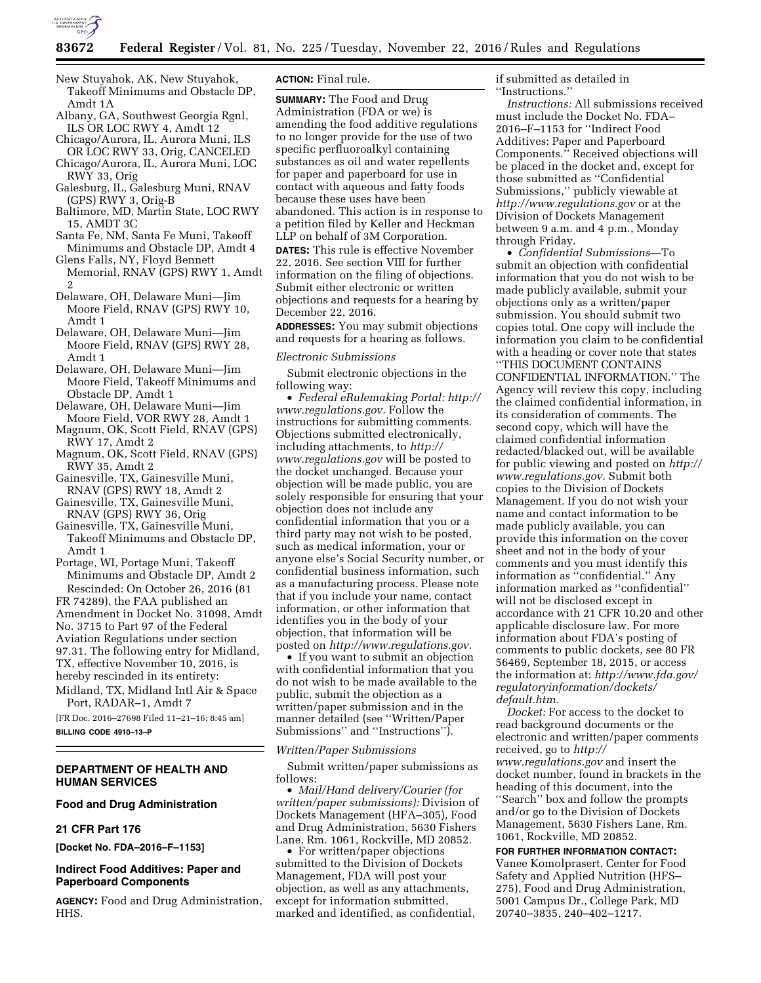

- New Stuyahok, AK, New Stuyahok, Takeoff Minimums and Obstacle DP, Amdt 1A
- Albany, GA, Southwest Georgia Rgnl, ILS OR LOC RWY 4, Amdt 12
- Chicago/Aurora, IL, Aurora Muni, ILS OR LOC RWY 33, Orig, CANCELED
- Chicago/Aurora, IL, Aurora Muni, LOC RWY 33, Orig
- Galesburg, IL, Galesburg Muni, RNAV (GPS) RWY 3, Orig-B
- Baltimore, MD, Martin State, LOC RWY 15, AMDT 3C
- Santa Fe, NM, Santa Fe Muni, Takeoff Minimums and Obstacle DP, Amdt 4
- Glens Falls, NY, Floyd Bennett Memorial, RNAV (GPS) RWY 1, Amdt 2
- Delaware, OH, Delaware Muni—Jim Moore Field, RNAV (GPS) RWY 10, Amdt 1
- Delaware, OH, Delaware Muni—Jim Moore Field, RNAV (GPS) RWY 28, Amdt 1
- Delaware, OH, Delaware Muni—Jim Moore Field, Takeoff Minimums and Obstacle DP, Amdt 1
- Delaware, OH, Delaware Muni—Jim Moore Field, VOR RWY 28, Amdt 1
- Magnum, OK, Scott Field, RNAV (GPS) RWY 17, Amdt 2
- Magnum, OK, Scott Field, RNAV (GPS) RWY 35, Amdt 2
- Gainesville, TX, Gainesville Muni, RNAV (GPS) RWY 18, Amdt 2
- Gainesville, TX, Gainesville Muni, RNAV (GPS) RWY 36, Orig
- Gainesville, TX, Gainesville Muni, Takeoff Minimums and Obstacle DP, Amdt 1
- Portage, WI, Portage Muni, Takeoff Minimums and Obstacle DP, Amdt 2 Rescinded: On October 26, 2016 (81

FR 74289), the FAA published an Amendment in Docket No. 31098, Amdt No. 3715 to Part 97 of the Federal Aviation Regulations under section 97.31. The following entry for Midland, TX, effective November 10, 2016, is hereby rescinded in its entirety:

Midland, TX, Midland Intl Air & Space Port, RADAR–1, Amdt 7

[FR Doc. 2016–27698 Filed 11–21–16; 8:45 am] **BILLING CODE 4910–13–P** 

# **DEPARTMENT OF HEALTH AND HUMAN SERVICES**

# **Food and Drug Administration**

### **21 CFR Part 176**

**[Docket No. FDA–2016–F–1153]** 

## **Indirect Food Additives: Paper and Paperboard Components**

**AGENCY:** Food and Drug Administration, HHS.

### **ACTION:** Final rule.

**SUMMARY:** The Food and Drug Administration (FDA or we) is amending the food additive regulations to no longer provide for the use of two specific perfluoroalkyl containing substances as oil and water repellents for paper and paperboard for use in contact with aqueous and fatty foods because these uses have been abandoned. This action is in response to a petition filed by Keller and Heckman LLP on behalf of 3M Corporation. **DATES:** This rule is effective November 22, 2016. See section VIII for further information on the filing of objections. Submit either electronic or written objections and requests for a hearing by December 22, 2016.

**ADDRESSES:** You may submit objections and requests for a hearing as follows.

### *Electronic Submissions*

Submit electronic objections in the following way:

• *Federal eRulemaking Portal: [http://](http://www.regulations.gov)  [www.regulations.gov.](http://www.regulations.gov)* Follow the instructions for submitting comments. Objections submitted electronically, including attachments, to *[http://](http://www.regulations.gov) [www.regulations.gov](http://www.regulations.gov)* will be posted to the docket unchanged. Because your objection will be made public, you are solely responsible for ensuring that your objection does not include any confidential information that you or a third party may not wish to be posted, such as medical information, your or anyone else's Social Security number, or confidential business information, such as a manufacturing process. Please note that if you include your name, contact information, or other information that identifies you in the body of your objection, that information will be posted on *[http://www.regulations.gov.](http://www.regulations.gov)* 

• If you want to submit an objection with confidential information that you do not wish to be made available to the public, submit the objection as a written/paper submission and in the manner detailed (see ''Written/Paper Submissions'' and ''Instructions'').

### *Written/Paper Submissions*

Submit written/paper submissions as follows:

• *Mail/Hand delivery/Courier (for written/paper submissions):* Division of Dockets Management (HFA–305), Food and Drug Administration, 5630 Fishers Lane, Rm. 1061, Rockville, MD 20852.

• For written/paper objections submitted to the Division of Dockets Management, FDA will post your objection, as well as any attachments, except for information submitted, marked and identified, as confidential,

if submitted as detailed in ''Instructions.''

*Instructions:* All submissions received must include the Docket No. FDA– 2016–F–1153 for ''Indirect Food Additives: Paper and Paperboard Components.'' Received objections will be placed in the docket and, except for those submitted as ''Confidential Submissions,'' publicly viewable at *<http://www.regulations.gov>* or at the Division of Dockets Management between 9 a.m. and 4 p.m., Monday through Friday.

• *Confidential Submissions*—To submit an objection with confidential information that you do not wish to be made publicly available, submit your objections only as a written/paper submission. You should submit two copies total. One copy will include the information you claim to be confidential with a heading or cover note that states ''THIS DOCUMENT CONTAINS CONFIDENTIAL INFORMATION.'' The Agency will review this copy, including the claimed confidential information, in its consideration of comments. The second copy, which will have the claimed confidential information redacted/blacked out, will be available for public viewing and posted on *[http://](http://www.regulations.gov)  [www.regulations.gov.](http://www.regulations.gov)* Submit both copies to the Division of Dockets Management. If you do not wish your name and contact information to be made publicly available, you can provide this information on the cover sheet and not in the body of your comments and you must identify this information as ''confidential.'' Any information marked as ''confidential'' will not be disclosed except in accordance with 21 CFR 10.20 and other applicable disclosure law. For more information about FDA's posting of comments to public dockets, see 80 FR 56469, September 18, 2015, or access the information at: *[http://www.fda.gov/](http://www.fda.gov/regulatoryinformation/dockets/default.htm)  [regulatoryinformation/dockets/](http://www.fda.gov/regulatoryinformation/dockets/default.htm)  [default.htm.](http://www.fda.gov/regulatoryinformation/dockets/default.htm)* 

*Docket:* For access to the docket to read background documents or the electronic and written/paper comments received, go to *[http://](http://www.regulations.gov) [www.regulations.gov](http://www.regulations.gov)* and insert the docket number, found in brackets in the heading of this document, into the ''Search'' box and follow the prompts and/or go to the Division of Dockets Management, 5630 Fishers Lane, Rm. 1061, Rockville, MD 20852.

**FOR FURTHER INFORMATION CONTACT:**  Vanee Komolprasert, Center for Food Safety and Applied Nutrition (HFS– 275), Food and Drug Administration, 5001 Campus Dr., College Park, MD 20740–3835, 240–402–1217.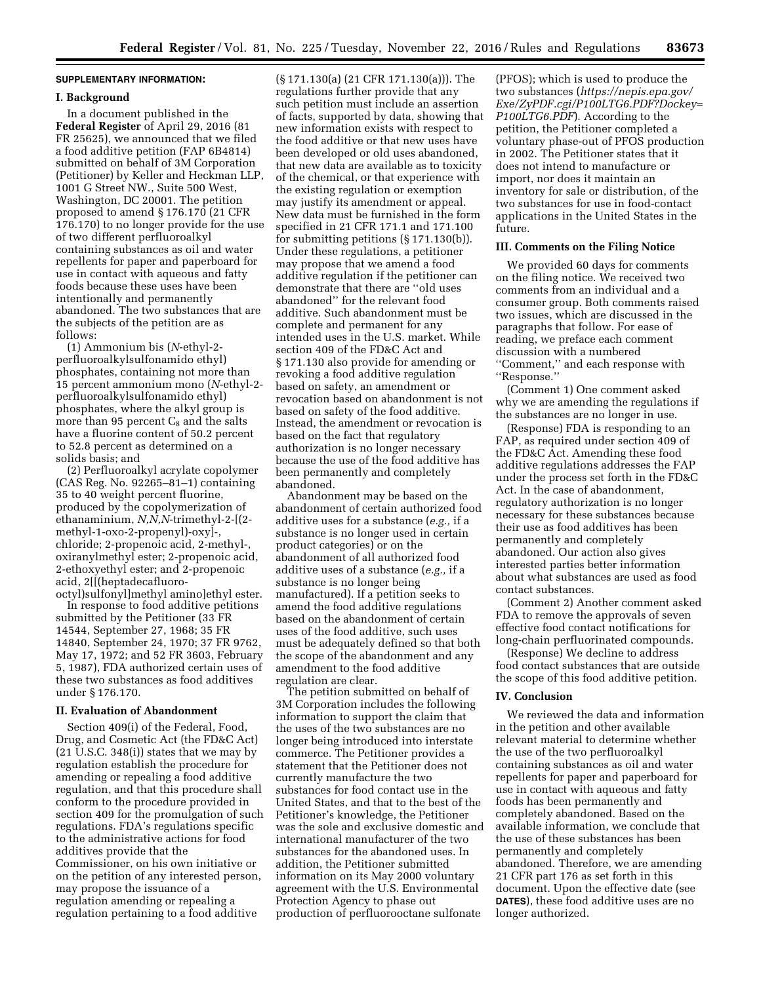## **SUPPLEMENTARY INFORMATION:**

#### **I. Background**

In a document published in the **Federal Register** of April 29, 2016 (81 FR 25625), we announced that we filed a food additive petition (FAP 6B4814) submitted on behalf of 3M Corporation (Petitioner) by Keller and Heckman LLP, 1001 G Street NW., Suite 500 West, Washington, DC 20001. The petition proposed to amend § 176.170 (21 CFR 176.170) to no longer provide for the use of two different perfluoroalkyl containing substances as oil and water repellents for paper and paperboard for use in contact with aqueous and fatty foods because these uses have been intentionally and permanently abandoned. The two substances that are the subjects of the petition are as follows:

(1) Ammonium bis (*N*-ethyl-2 perfluoroalkylsulfonamido ethyl) phosphates, containing not more than 15 percent ammonium mono (*N*-ethyl-2 perfluoroalkylsulfonamido ethyl) phosphates, where the alkyl group is more than 95 percent  $C_8$  and the salts have a fluorine content of 50.2 percent to 52.8 percent as determined on a solids basis; and

(2) Perfluoroalkyl acrylate copolymer (CAS Reg. No. 92265–81–1) containing 35 to 40 weight percent fluorine, produced by the copolymerization of ethanaminium, *N,N,N*-trimethyl-2-[(2 methyl-1-oxo-2-propenyl)-oxy]-, chloride; 2-propenoic acid, 2-methyl-, oxiranylmethyl ester; 2-propenoic acid, 2-ethoxyethyl ester; and 2-propenoic acid, 2[[(heptadecafluoro-

octyl)sulfonyl]methyl amino]ethyl ester. In response to food additive petitions submitted by the Petitioner (33 FR 14544, September 27, 1968; 35 FR 14840, September 24, 1970; 37 FR 9762, May 17, 1972; and 52 FR 3603, February 5, 1987), FDA authorized certain uses of these two substances as food additives under § 176.170.

#### **II. Evaluation of Abandonment**

Section 409(i) of the Federal, Food, Drug, and Cosmetic Act (the FD&C Act) (21 U.S.C. 348(i)) states that we may by regulation establish the procedure for amending or repealing a food additive regulation, and that this procedure shall conform to the procedure provided in section 409 for the promulgation of such regulations. FDA's regulations specific to the administrative actions for food additives provide that the Commissioner, on his own initiative or on the petition of any interested person, may propose the issuance of a regulation amending or repealing a regulation pertaining to a food additive

(§ 171.130(a) (21 CFR 171.130(a))). The regulations further provide that any such petition must include an assertion of facts, supported by data, showing that new information exists with respect to the food additive or that new uses have been developed or old uses abandoned, that new data are available as to toxicity of the chemical, or that experience with the existing regulation or exemption may justify its amendment or appeal. New data must be furnished in the form specified in 21 CFR 171.1 and 171.100 for submitting petitions (§ 171.130(b)). Under these regulations, a petitioner may propose that we amend a food additive regulation if the petitioner can demonstrate that there are ''old uses abandoned'' for the relevant food additive. Such abandonment must be complete and permanent for any intended uses in the U.S. market. While section 409 of the FD&C Act and § 171.130 also provide for amending or revoking a food additive regulation based on safety, an amendment or revocation based on abandonment is not based on safety of the food additive. Instead, the amendment or revocation is based on the fact that regulatory authorization is no longer necessary because the use of the food additive has been permanently and completely abandoned.

Abandonment may be based on the abandonment of certain authorized food additive uses for a substance (*e.g.,* if a substance is no longer used in certain product categories) or on the abandonment of all authorized food additive uses of a substance (*e.g.,* if a substance is no longer being manufactured). If a petition seeks to amend the food additive regulations based on the abandonment of certain uses of the food additive, such uses must be adequately defined so that both the scope of the abandonment and any amendment to the food additive regulation are clear.

The petition submitted on behalf of 3M Corporation includes the following information to support the claim that the uses of the two substances are no longer being introduced into interstate commerce. The Petitioner provides a statement that the Petitioner does not currently manufacture the two substances for food contact use in the United States, and that to the best of the Petitioner's knowledge, the Petitioner was the sole and exclusive domestic and international manufacturer of the two substances for the abandoned uses. In addition, the Petitioner submitted information on its May 2000 voluntary agreement with the U.S. Environmental Protection Agency to phase out production of perfluorooctane sulfonate

(PFOS); which is used to produce the two substances (*[https://nepis.epa.gov/](https://nepis.epa.gov/Exe/ZyPDF.cgi/P100LTG6.PDF?Dockey=P100LTG6.PDF) [Exe/ZyPDF.cgi/P100LTG6.PDF?Dockey=](https://nepis.epa.gov/Exe/ZyPDF.cgi/P100LTG6.PDF?Dockey=P100LTG6.PDF) [P100LTG6.PDF](https://nepis.epa.gov/Exe/ZyPDF.cgi/P100LTG6.PDF?Dockey=P100LTG6.PDF)*). According to the petition, the Petitioner completed a voluntary phase-out of PFOS production in 2002. The Petitioner states that it does not intend to manufacture or import, nor does it maintain an inventory for sale or distribution, of the two substances for use in food-contact applications in the United States in the future.

### **III. Comments on the Filing Notice**

We provided 60 days for comments on the filing notice. We received two comments from an individual and a consumer group. Both comments raised two issues, which are discussed in the paragraphs that follow. For ease of reading, we preface each comment discussion with a numbered ''Comment,'' and each response with ''Response.''

(Comment 1) One comment asked why we are amending the regulations if the substances are no longer in use.

(Response) FDA is responding to an FAP, as required under section 409 of the FD&C Act. Amending these food additive regulations addresses the FAP under the process set forth in the FD&C Act. In the case of abandonment, regulatory authorization is no longer necessary for these substances because their use as food additives has been permanently and completely abandoned. Our action also gives interested parties better information about what substances are used as food contact substances.

(Comment 2) Another comment asked FDA to remove the approvals of seven effective food contact notifications for long-chain perfluorinated compounds.

(Response) We decline to address food contact substances that are outside the scope of this food additive petition.

## **IV. Conclusion**

We reviewed the data and information in the petition and other available relevant material to determine whether the use of the two perfluoroalkyl containing substances as oil and water repellents for paper and paperboard for use in contact with aqueous and fatty foods has been permanently and completely abandoned. Based on the available information, we conclude that the use of these substances has been permanently and completely abandoned. Therefore, we are amending 21 CFR part 176 as set forth in this document. Upon the effective date (see **DATES**), these food additive uses are no longer authorized.